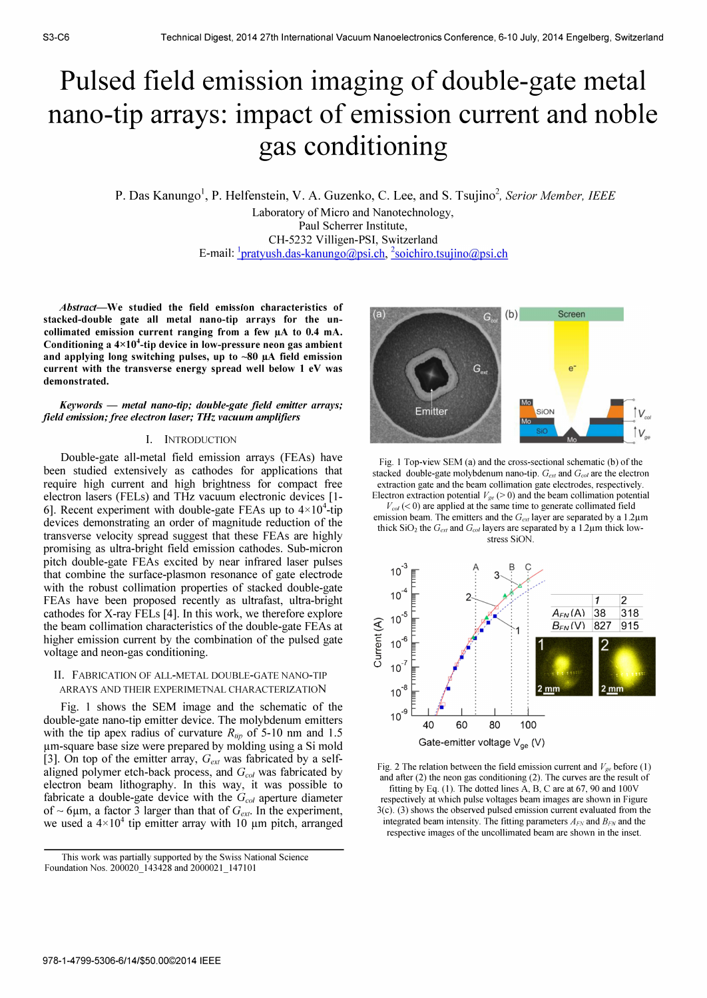# Pulsed field emission imaging of double-gate metal nano-tip arrays: impact of emission current and noble gas conditioning

# P. Das Kanungo<sup>1</sup>, P. Helfenstein, V. A. Guzenko, C. Lee, and S. Tsujino<sup>2</sup>, Serior Member, IEEE Laboratory of Micro and Nanotechnology, Paul Scherrer Institute, CH-5232 Villigen-PSI, Switzerland E-mail: <sup>1</sup> pratyush.das-kanungo@psi.ch, <sup>2</sup> soichiro.tsujino@psi.ch

Abstract-We studied the field emission characteristics of stacked-double gate all metal nano-tip arrays for the uncollimated emission current ranging from a few  $\mu A$  to 0.4 mA. Conditioning a  $4\times10^4$ -tip device in low-pressure neon gas ambient and applying long switching pulses, up to  $~80$   $~\mu$ A field emission current with the transverse energy spread well below 1 eV was demonstrated.

 $Keywords$  - metal nano-tip; double-gate field emitter arrays; field emission; free electron laser; THz vacuum amplifiers

### I. INTRODUCTION

Double-gate all-metal field emission arrays (FEAs) have been studied extensively as cathodes for applications that require high current and high brightness for compact free electron lasers (FELs) and THz vacuum electronic devices [1- 6]. Recent experiment with double-gate FEAs up to  $4\times10^4$ -tip devices demonstrating an order of magnitude reduction of the transverse velocity spread suggest that these FEAs are highly promising as ultra-bright field emission cathodes. Sub-micron pitch double-gate FEAs excited by near infrared laser pulses that combine the surface-plasmon resonance of gate electrode with the robust collimation properties of stacked double-gate FEAs have been proposed recently as ultrafast, ultra-bright cathodes for X-ray FELs [4]. In this work, we therefore explore the beam collimation characteristics of the double-gate FEAs at higher emission current by the combination of the pulsed gate voltage and neon-gas conditioning.

## II. FABRICATION OF ALL-METAL DOUBLE-GATE NANO-TIP ARRA YS AND THEIR EXPERIMETNAL CHARACTERIZATIoN

Fig. 1 shows the SEM image and the schematic of the double-gate nano-tip emitter device. The molybdenum emitters with the tip apex radius of curvature  $R_{lin}$  of 5-10 nm and 1.5 um-square base size were prepared by molding using a Si mold [3]. On top of the emitter array,  $G_{ext}$  was fabricated by a selfaligned polymer etch-back process, and  $G_{col}$  was fabricated by electron beam lithography. In this way, it was possible to fabricate a double-gate device with the  $G_{col}$  aperture diameter of  $\sim$  6µm, a factor 3 larger than that of  $G_{ext}$ . In the experiment, we used a  $4\times10^4$  tip emitter array with 10 µm pitch, arranged



Fig. 1 Top-view SEM (a) and the cross-sectional schematic (b) of the stacked double-gate molybdenum nano-tip.  $G_{ext}$  and  $G_{col}$  are the electron extraction gate and the beam collimation gate electrodes, respectively. Electron extraction potential  $V_{ge}$  (> 0) and the beam collimation potential

 $V_{col}$  (< 0) are applied at the same time to generate collimated field emission beam. The emitters and the  $G_{ext}$  layer are separated by a 1.2 $\mu$ m thick  $SiO<sub>2</sub>$  the  $G<sub>ext</sub>$  and  $G<sub>col</sub>$  layers are separated by a 1.2 $\mu$ m thick lowstress SiON.



Fig. 2 The relation between the field emission current and  $V_{ge}$  before (1) and after (2) the neon gas conditioning (2). The curves are the result of fitting by Eq. (1). The dotted lines A, B, C are at 67, 90 and 100V respectively at which pulse voltages beam images are shown in Figure 3(c). (3) shows the observed pulsed emission current evaluated from the integrated beam intensity. The fitting parameters  $A_{FN}$  and  $B_{FN}$  and the respective images of the uncollimated beam are shown in the inset.

This work was partially supported by the Swiss National Science Foundation Nos. 200020 143428 and 2000021 147101